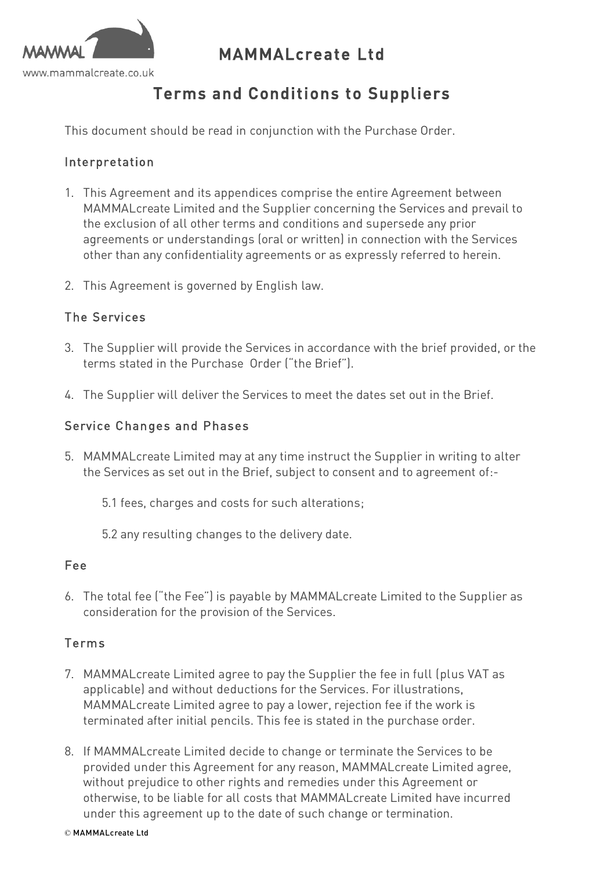

# MAMMALcreate Ltd

# Terms and Conditions to Suppliers

This document should be read in conjunction with the Purchase Order.

### Interpretation

- 1. This Agreement and its appendices comprise the entire Agreement between MAMMALcreate Limited and the Supplier concerning the Services and prevail to the exclusion of all other terms and conditions and supersede any prior agreements or understandings (oral or written) in connection with the Services other than any confidentiality agreements or as expressly referred to herein.
- 2. This Agreement is governed by English law.

#### The Services

- 3. The Supplier will provide the Services in accordance with the brief provided, or the terms stated in the Purchase Order ("the Brief").
- 4. The Supplier will deliver the Services to meet the dates set out in the Brief.

#### Service Changes and Phases

- 5. MAMMALcreate Limited may at any time instruct the Supplier in writing to alter the Services as set out in the Brief, subject to consent and to agreement of:-
	- 5.1 fees, charges and costs for such alterations;
	- 5.2 any resulting changes to the delivery date.

#### Fee

6. The total fee ("the Fee") is payable by MAMMALcreate Limited to the Supplier as consideration for the provision of the Services.

#### Terms

- 7. MAMMALcreate Limited agree to pay the Supplier the fee in full (plus VAT as applicable) and without deductions for the Services. For illustrations, MAMMALcreate Limited agree to pay a lower, rejection fee if the work is terminated after initial pencils. This fee is stated in the purchase order.
- 8. If MAMMALcreate Limited decide to change or terminate the Services to be provided under this Agreement for any reason, MAMMALcreate Limited agree, without prejudice to other rights and remedies under this Agreement or otherwise, to be liable for all costs that MAMMALcreate Limited have incurred under this agreement up to the date of such change or termination.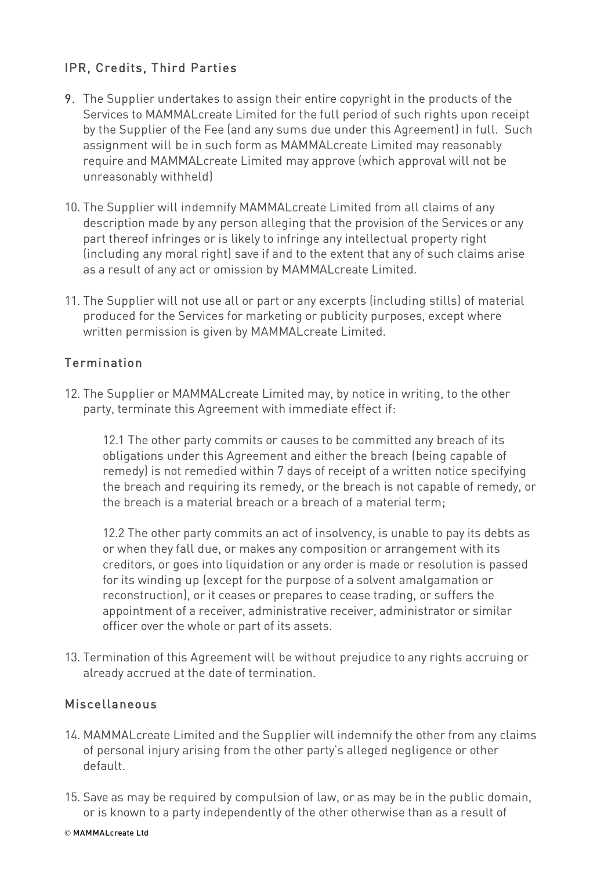## IPR, Credits, Third Parties

- 9. The Supplier undertakes to assign their entire copyright in the products of the Services to MAMMALcreate Limited for the full period of such rights upon receipt by the Supplier of the Fee (and any sums due under this Agreement) in full. Such assignment will be in such form as MAMMALcreate Limited may reasonably require and MAMMALcreate Limited may approve (which approval will not be unreasonably withheld)
- 10. The Supplier will indemnify MAMMALcreate Limited from all claims of any description made by any person alleging that the provision of the Services or any part thereof infringes or is likely to infringe any intellectual property right (including any moral right) save if and to the extent that any of such claims arise as a result of any act or omission by MAMMALcreate Limited.
- 11. The Supplier will not use all or part or any excerpts (including stills) of material produced for the Services for marketing or publicity purposes, except where written permission is given by MAMMALcreate Limited.

## Termination

12. The Supplier or MAMMALcreate Limited may, by notice in writing, to the other party, terminate this Agreement with immediate effect if:

12.1 The other party commits or causes to be committed any breach of its obligations under this Agreement and either the breach (being capable of remedy) is not remedied within 7 days of receipt of a written notice specifying the breach and requiring its remedy, or the breach is not capable of remedy, or the breach is a material breach or a breach of a material term;

12.2 The other party commits an act of insolvency, is unable to pay its debts as or when they fall due, or makes any composition or arrangement with its creditors, or goes into liquidation or any order is made or resolution is passed for its winding up (except for the purpose of a solvent amalgamation or reconstruction), or it ceases or prepares to cease trading, or suffers the appointment of a receiver, administrative receiver, administrator or similar officer over the whole or part of its assets.

13. Termination of this Agreement will be without prejudice to any rights accruing or already accrued at the date of termination.

### Miscellaneous

- 14. MAMMALcreate Limited and the Supplier will indemnify the other from any claims of personal injury arising from the other party's alleged negligence or other default.
- 15. Save as may be required by compulsion of law, or as may be in the public domain, or is known to a party independently of the other otherwise than as a result of